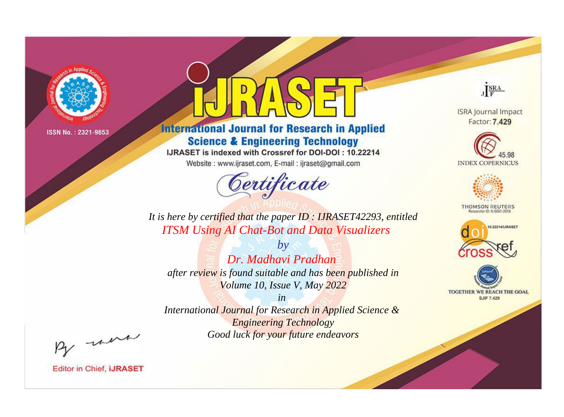

# **International Journal for Research in Applied Science & Engineering Technology**

IJRASET is indexed with Crossref for DOI-DOI: 10.22214

Website: www.ijraset.com, E-mail: ijraset@gmail.com



JERA

**ISRA Journal Impact** Factor: 7.429





**THOMSON REUTERS** 



TOGETHER WE REACH THE GOAL **SJIF 7.429** 

*It is here by certified that the paper ID : IJRASET42293, entitled ITSM Using AI Chat-Bot and Data Visualizers*

*Dr. Madhavi Pradhan after review is found suitable and has been published in Volume 10, Issue V, May 2022*

*by*

*in* 

*International Journal for Research in Applied Science & Engineering Technology Good luck for your future endeavors*

By morn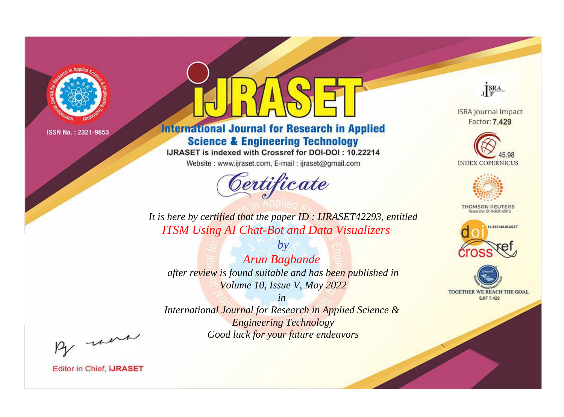

# **International Journal for Research in Applied Science & Engineering Technology**

IJRASET is indexed with Crossref for DOI-DOI: 10.22214

Website: www.ijraset.com, E-mail: ijraset@gmail.com



JERA

**ISRA Journal Impact** Factor: 7.429





**THOMSON REUTERS** 



TOGETHER WE REACH THE GOAL **SJIF 7.429** 

*It is here by certified that the paper ID : IJRASET42293, entitled ITSM Using AI Chat-Bot and Data Visualizers*

*by Arun Bagbande after review is found suitable and has been published in Volume 10, Issue V, May 2022*

*in* 

*International Journal for Research in Applied Science & Engineering Technology Good luck for your future endeavors*

By morn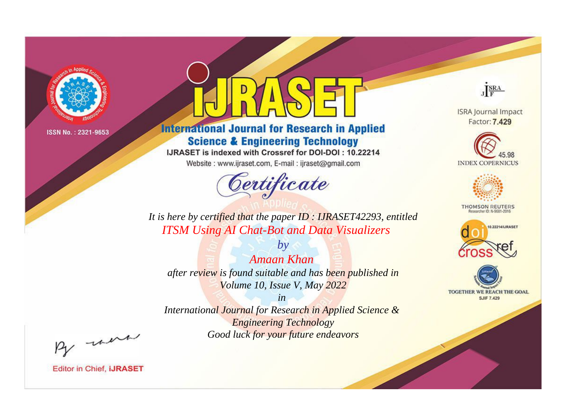

# **International Journal for Research in Applied Science & Engineering Technology**

IJRASET is indexed with Crossref for DOI-DOI: 10.22214

Website: www.ijraset.com, E-mail: ijraset@gmail.com



JERA

**ISRA Journal Impact** Factor: 7.429





**THOMSON REUTERS** 



TOGETHER WE REACH THE GOAL **SJIF 7.429** 

*It is here by certified that the paper ID : IJRASET42293, entitled ITSM Using AI Chat-Bot and Data Visualizers*

*by Amaan Khan after review is found suitable and has been published in Volume 10, Issue V, May 2022*

*in* 

*International Journal for Research in Applied Science & Engineering Technology Good luck for your future endeavors*

By morn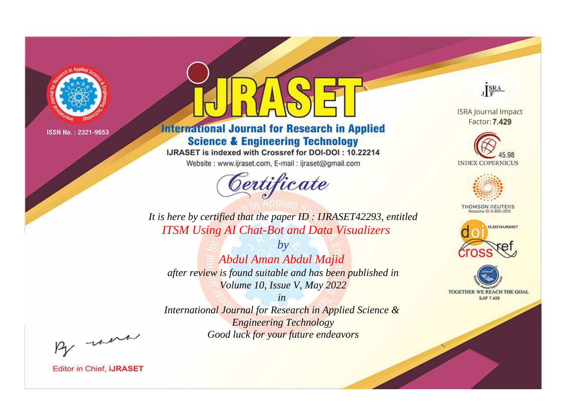

# **International Journal for Research in Applied Science & Engineering Technology**

IJRASET is indexed with Crossref for DOI-DOI: 10.22214

Website: www.ijraset.com, E-mail: ijraset@gmail.com



JERA

**ISRA Journal Impact** Factor: 7.429





**THOMSON REUTERS** 



TOGETHER WE REACH THE GOAL **SJIF 7.429** 

*It is here by certified that the paper ID : IJRASET42293, entitled ITSM Using AI Chat-Bot and Data Visualizers*

*by Abdul Aman Abdul Majid after review is found suitable and has been published in Volume 10, Issue V, May 2022*

*in* 

*International Journal for Research in Applied Science & Engineering Technology Good luck for your future endeavors*

By morn